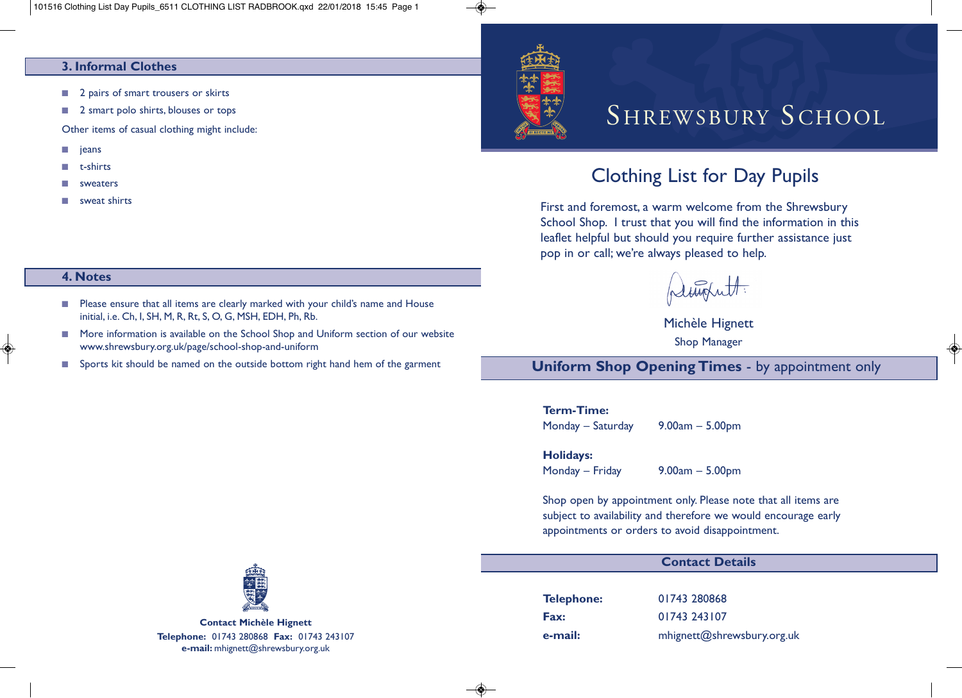#### **3. Informal Clothes**

- 2 pairs of smart trousers or skirts
- 2 smart polo shirts, blouses or tops

Other items of casual clothing might include:

- **■** jeans
- **■** t-shirts
- **■** sweaters

**4. Notes**

**■** sweat shirts

# SHREWSBURY SCHOOL

## Clothing List for Day Pupils

First and foremost, a warm welcome from the Shrewsbury School Shop. I trust that you will find the information in this leaflet helpful but should you require further assistance just pop in or call; we're always pleased to help.

pleughett:

Michèle Hignett Shop Manager

◈

**Uniform Shop Opening Times** - by appointment only

### **Term-Time:**

Monday – Saturday 9.00am – 5.00pm

#### **Holidays:**

Monday – Friday 9.00am – 5.00pm

Shop open by appointment only. Please note that all items are subject to availability and therefore we would encourage early appointments or orders to avoid disappointment.

#### **Contact Details**

**Telephone:** 01743 280868 **Fax:** 01743 243107 **e-mail:** mhignett@shrewsbury.org.uk



**Contact Michèle Hignett Telephone:** 01743 280868 **Fax:** 01743 243107 **e-mail:** mhignett@shrewsbury.org.uk

■ Please ensure that all items are clearly marked with your child's name and House initial, i.e. Ch, I, SH, M, R, Rt, S, O, G, MSH, EDH, Ph, Rb.

- More information is available on the School Shop and Uniform section of our website www.shrewsbury.org.uk/page/school-shop-and-uniform
- Sports kit should be named on the outside bottom right hand hem of the garment